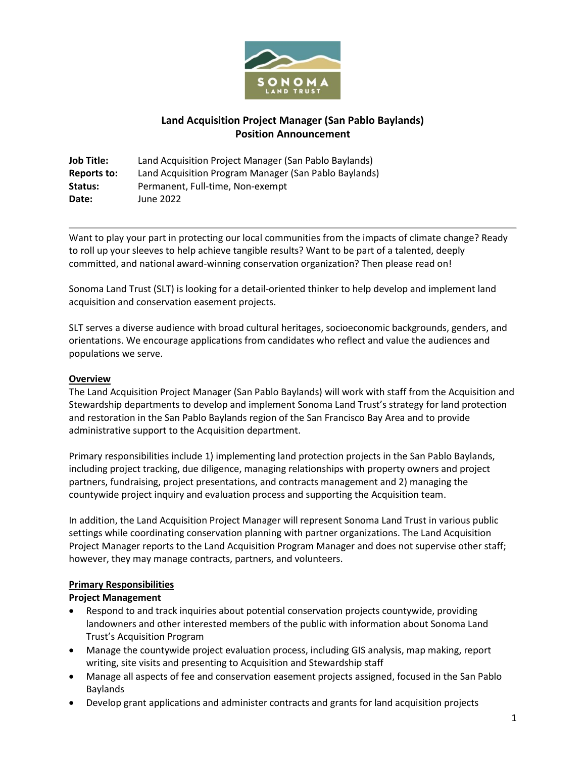

# **Land Acquisition Project Manager (San Pablo Baylands) Position Announcement**

**Job Title:** Land Acquisition Project Manager (San Pablo Baylands) **Reports to:** Land Acquisition Program Manager (San Pablo Baylands) Status: Permanent, Full-time, Non-exempt **Date:** June 2022

Want to play your part in protecting our local communities from the impacts of climate change? Ready to roll up your sleeves to help achieve tangible results? Want to be part of a talented, deeply committed, and national award-winning conservation organization? Then please read on!

Sonoma Land Trust (SLT) is looking for a detail-oriented thinker to help develop and implement land acquisition and conservation easement projects.

SLT serves a diverse audience with broad cultural heritages, socioeconomic backgrounds, genders, and orientations. We encourage applications from candidates who reflect and value the audiences and populations we serve.

### **Overview**

The Land Acquisition Project Manager (San Pablo Baylands) will work with staff from the Acquisition and Stewardship departments to develop and implement Sonoma Land Trust's strategy for land protection and restoration in the San Pablo Baylands region of the San Francisco Bay Area and to provide administrative support to the Acquisition department.

Primary responsibilities include 1) implementing land protection projects in the San Pablo Baylands, including project tracking, due diligence, managing relationships with property owners and project partners, fundraising, project presentations, and contracts management and 2) managing the countywide project inquiry and evaluation process and supporting the Acquisition team.

In addition, the Land Acquisition Project Manager will represent Sonoma Land Trust in various public settings while coordinating conservation planning with partner organizations. The Land Acquisition Project Manager reports to the Land Acquisition Program Manager and does not supervise other staff; however, they may manage contracts, partners, and volunteers.

### **Primary Responsibilities**

### **Project Management**

- Respond to and track inquiries about potential conservation projects countywide, providing landowners and other interested members of the public with information about Sonoma Land Trust's Acquisition Program
- Manage the countywide project evaluation process, including GIS analysis, map making, report writing, site visits and presenting to Acquisition and Stewardship staff
- Manage all aspects of fee and conservation easement projects assigned, focused in the San Pablo Baylands
- Develop grant applications and administer contracts and grants for land acquisition projects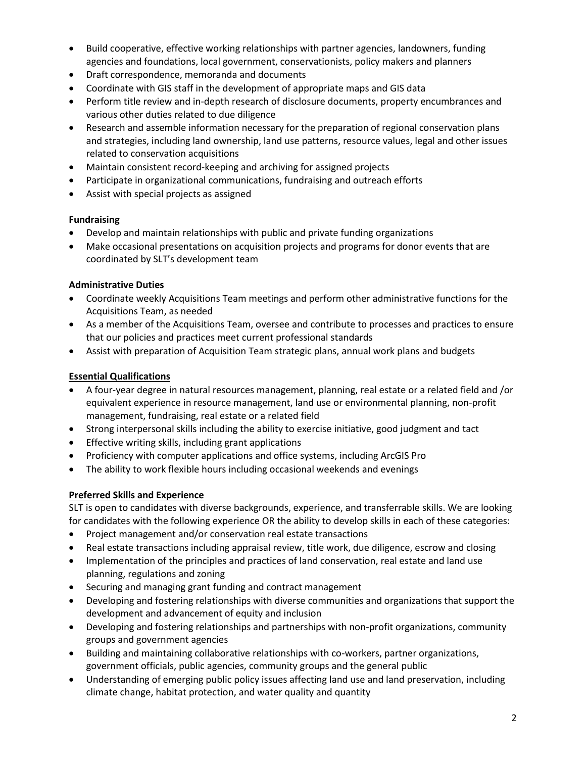- Build cooperative, effective working relationships with partner agencies, landowners, funding agencies and foundations, local government, conservationists, policy makers and planners
- Draft correspondence, memoranda and documents
- Coordinate with GIS staff in the development of appropriate maps and GIS data
- Perform title review and in-depth research of disclosure documents, property encumbrances and various other duties related to due diligence
- Research and assemble information necessary for the preparation of regional conservation plans and strategies, including land ownership, land use patterns, resource values, legal and other issues related to conservation acquisitions
- Maintain consistent record-keeping and archiving for assigned projects
- Participate in organizational communications, fundraising and outreach efforts
- Assist with special projects as assigned

### **Fundraising**

- Develop and maintain relationships with public and private funding organizations
- Make occasional presentations on acquisition projects and programs for donor events that are coordinated by SLT's development team

## **Administrative Duties**

- Coordinate weekly Acquisitions Team meetings and perform other administrative functions for the Acquisitions Team, as needed
- As a member of the Acquisitions Team, oversee and contribute to processes and practices to ensure that our policies and practices meet current professional standards
- Assist with preparation of Acquisition Team strategic plans, annual work plans and budgets

# **Essential Qualifications**

- A four-year degree in natural resources management, planning, real estate or a related field and /or equivalent experience in resource management, land use or environmental planning, non-profit management, fundraising, real estate or a related field
- Strong interpersonal skills including the ability to exercise initiative, good judgment and tact
- Effective writing skills, including grant applications
- Proficiency with computer applications and office systems, including ArcGIS Pro
- The ability to work flexible hours including occasional weekends and evenings

# **Preferred Skills and Experience**

SLT is open to candidates with diverse backgrounds, experience, and transferrable skills. We are looking for candidates with the following experience OR the ability to develop skills in each of these categories:

- Project management and/or conservation real estate transactions
- Real estate transactions including appraisal review, title work, due diligence, escrow and closing
- Implementation of the principles and practices of land conservation, real estate and land use planning, regulations and zoning
- Securing and managing grant funding and contract management
- Developing and fostering relationships with diverse communities and organizations that support the development and advancement of equity and inclusion
- Developing and fostering relationships and partnerships with non-profit organizations, community groups and government agencies
- Building and maintaining collaborative relationships with co-workers, partner organizations, government officials, public agencies, community groups and the general public
- Understanding of emerging public policy issues affecting land use and land preservation, including climate change, habitat protection, and water quality and quantity